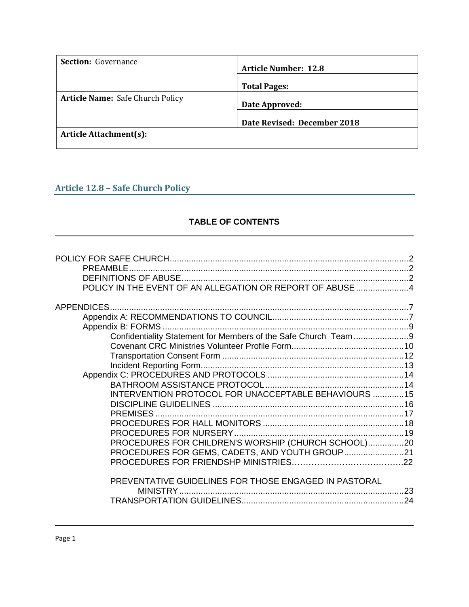| <b>Section:</b> Governance              | <b>Article Number: 12.8</b> |  |
|-----------------------------------------|-----------------------------|--|
|                                         | <b>Total Pages:</b>         |  |
| <b>Article Name: Safe Church Policy</b> | Date Approved:              |  |
|                                         | Date Revised: December 2018 |  |
| <b>Article Attachment(s):</b>           |                             |  |

# **Article 12.8 – Safe Church Policy**

## **TABLE OF CONTENTS**

| <b>PRFAMBLE</b><br>POLICY IN THE EVENT OF AN ALLEGATION OR REPORT OF ABUSE 4 |  |
|------------------------------------------------------------------------------|--|
|                                                                              |  |
|                                                                              |  |
|                                                                              |  |
|                                                                              |  |
|                                                                              |  |
|                                                                              |  |
|                                                                              |  |
|                                                                              |  |
|                                                                              |  |
| INTERVENTION PROTOCOL FOR UNACCEPTABLE BEHAVIOURS 15                         |  |
|                                                                              |  |
| PREMISES.                                                                    |  |
|                                                                              |  |
|                                                                              |  |
| PROCEDURES FOR CHILDREN'S WORSHIP (CHURCH SCHOOL)20                          |  |
|                                                                              |  |
|                                                                              |  |
|                                                                              |  |
| PREVENTATIVE GUIDELINES FOR THOSE ENGAGED IN PASTORAL                        |  |
|                                                                              |  |
|                                                                              |  |
|                                                                              |  |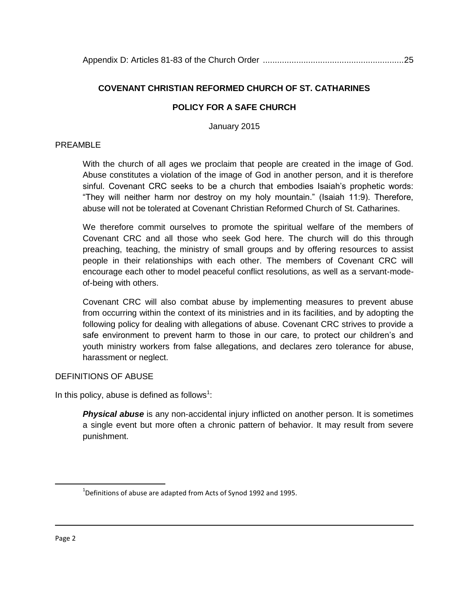## **COVENANT CHRISTIAN REFORMED CHURCH OF ST. CATHARINES**

### **POLICY FOR A SAFE CHURCH**

January 2015

#### PRFAMBL<sub>F</sub>

With the church of all ages we proclaim that people are created in the image of God. Abuse constitutes a violation of the image of God in another person, and it is therefore sinful. Covenant CRC seeks to be a church that embodies Isaiah's prophetic words: "They will neither harm nor destroy on my holy mountain." (Isaiah 11:9). Therefore, abuse will not be tolerated at Covenant Christian Reformed Church of St. Catharines.

We therefore commit ourselves to promote the spiritual welfare of the members of Covenant CRC and all those who seek God here. The church will do this through preaching, teaching, the ministry of small groups and by offering resources to assist people in their relationships with each other. The members of Covenant CRC will encourage each other to model peaceful conflict resolutions, as well as a servant-modeof-being with others.

Covenant CRC will also combat abuse by implementing measures to prevent abuse from occurring within the context of its ministries and in its facilities, and by adopting the following policy for dealing with allegations of abuse. Covenant CRC strives to provide a safe environment to prevent harm to those in our care, to protect our children's and youth ministry workers from false allegations, and declares zero tolerance for abuse, harassment or neglect.

#### DEFINITIONS OF ABUSE

In this policy, abuse is defined as follows $1$ :

**Physical abuse** is any non-accidental injury inflicted on another person. It is sometimes a single event but more often a chronic pattern of behavior. It may result from severe punishment.

 $\overline{\phantom{a}}$ 

 $^{1}$ Definitions of abuse are adapted from Acts of Synod 1992 and 1995.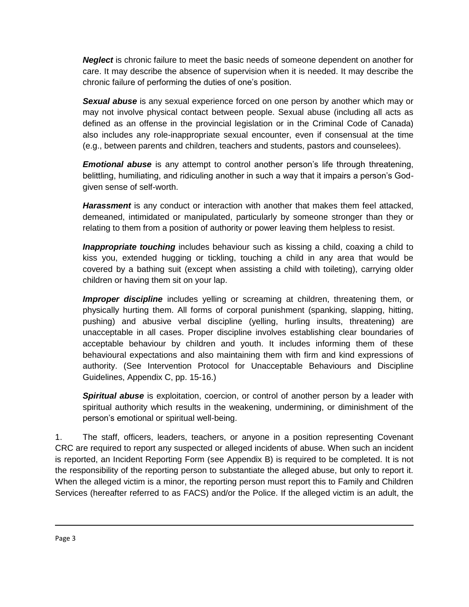*Neglect* is chronic failure to meet the basic needs of someone dependent on another for care. It may describe the absence of supervision when it is needed. It may describe the chronic failure of performing the duties of one's position.

*Sexual abuse* is any sexual experience forced on one person by another which may or may not involve physical contact between people. Sexual abuse (including all acts as defined as an offense in the provincial legislation or in the Criminal Code of Canada) also includes any role-inappropriate sexual encounter, even if consensual at the time (e.g., between parents and children, teachers and students, pastors and counselees).

*Emotional abuse* is any attempt to control another person's life through threatening, belittling, humiliating, and ridiculing another in such a way that it impairs a person's Godgiven sense of self-worth.

*Harassment* is any conduct or interaction with another that makes them feel attacked, demeaned, intimidated or manipulated, particularly by someone stronger than they or relating to them from a position of authority or power leaving them helpless to resist.

*Inappropriate touching* includes behaviour such as kissing a child, coaxing a child to kiss you, extended hugging or tickling, touching a child in any area that would be covered by a bathing suit (except when assisting a child with toileting), carrying older children or having them sit on your lap.

**Improper discipline** includes yelling or screaming at children, threatening them, or physically hurting them. All forms of corporal punishment (spanking, slapping, hitting, pushing) and abusive verbal discipline (yelling, hurling insults, threatening) are unacceptable in all cases. Proper discipline involves establishing clear boundaries of acceptable behaviour by children and youth. It includes informing them of these behavioural expectations and also maintaining them with firm and kind expressions of authority. (See Intervention Protocol for Unacceptable Behaviours and Discipline Guidelines, Appendix C, pp. 15-16.)

*Spiritual abuse* is exploitation, coercion, or control of another person by a leader with spiritual authority which results in the weakening, undermining, or diminishment of the person's emotional or spiritual well-being.

1. The staff, officers, leaders, teachers, or anyone in a position representing Covenant CRC are required to report any suspected or alleged incidents of abuse. When such an incident is reported, an Incident Reporting Form (see Appendix B) is required to be completed. It is not the responsibility of the reporting person to substantiate the alleged abuse, but only to report it. When the alleged victim is a minor, the reporting person must report this to Family and Children Services (hereafter referred to as FACS) and/or the Police. If the alleged victim is an adult, the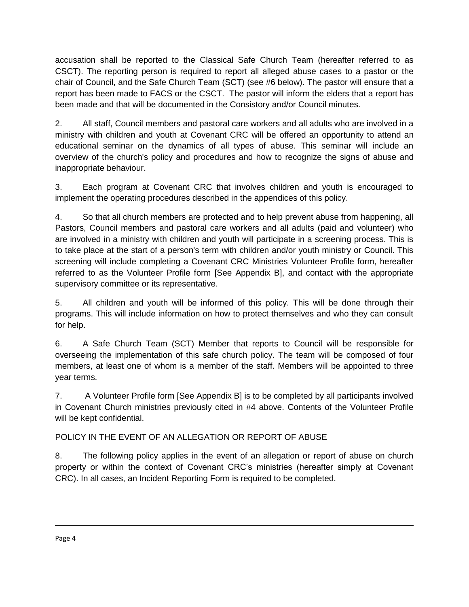accusation shall be reported to the Classical Safe Church Team (hereafter referred to as CSCT). The reporting person is required to report all alleged abuse cases to a pastor or the chair of Council, and the Safe Church Team (SCT) (see #6 below). The pastor will ensure that a report has been made to FACS or the CSCT. The pastor will inform the elders that a report has been made and that will be documented in the Consistory and/or Council minutes.

2. All staff, Council members and pastoral care workers and all adults who are involved in a ministry with children and youth at Covenant CRC will be offered an opportunity to attend an educational seminar on the dynamics of all types of abuse. This seminar will include an overview of the church's policy and procedures and how to recognize the signs of abuse and inappropriate behaviour.

3. Each program at Covenant CRC that involves children and youth is encouraged to implement the operating procedures described in the appendices of this policy.

4. So that all church members are protected and to help prevent abuse from happening, all Pastors, Council members and pastoral care workers and all adults (paid and volunteer) who are involved in a ministry with children and youth will participate in a screening process. This is to take place at the start of a person's term with children and/or youth ministry or Council. This screening will include completing a Covenant CRC Ministries Volunteer Profile form, hereafter referred to as the Volunteer Profile form [See Appendix B], and contact with the appropriate supervisory committee or its representative.

5. All children and youth will be informed of this policy. This will be done through their programs. This will include information on how to protect themselves and who they can consult for help.

6. A Safe Church Team (SCT) Member that reports to Council will be responsible for overseeing the implementation of this safe church policy. The team will be composed of four members, at least one of whom is a member of the staff. Members will be appointed to three year terms.

7. A Volunteer Profile form [See Appendix B] is to be completed by all participants involved in Covenant Church ministries previously cited in #4 above. Contents of the Volunteer Profile will be kept confidential.

POLICY IN THE EVENT OF AN ALLEGATION OR REPORT OF ABUSE

8. The following policy applies in the event of an allegation or report of abuse on church property or within the context of Covenant CRC's ministries (hereafter simply at Covenant CRC). In all cases, an Incident Reporting Form is required to be completed.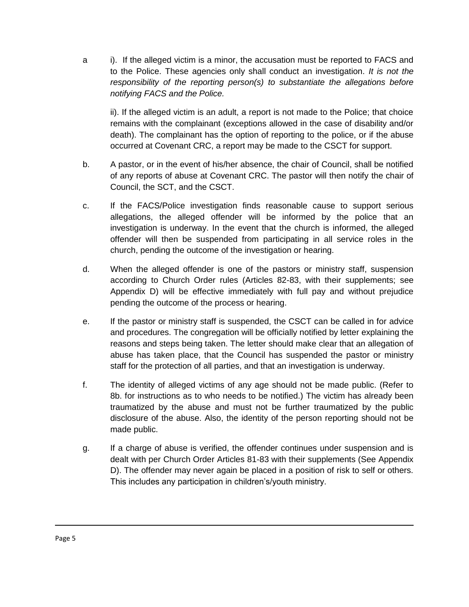a i). If the alleged victim is a minor, the accusation must be reported to FACS and to the Police. These agencies only shall conduct an investigation. *It is not the responsibility of the reporting person(s) to substantiate the allegations before notifying FACS and the Police.* 

ii). If the alleged victim is an adult, a report is not made to the Police; that choice remains with the complainant (exceptions allowed in the case of disability and/or death). The complainant has the option of reporting to the police, or if the abuse occurred at Covenant CRC, a report may be made to the CSCT for support.

- b. A pastor, or in the event of his/her absence, the chair of Council, shall be notified of any reports of abuse at Covenant CRC. The pastor will then notify the chair of Council, the SCT, and the CSCT.
- c. If the FACS/Police investigation finds reasonable cause to support serious allegations, the alleged offender will be informed by the police that an investigation is underway. In the event that the church is informed, the alleged offender will then be suspended from participating in all service roles in the church, pending the outcome of the investigation or hearing.
- d. When the alleged offender is one of the pastors or ministry staff, suspension according to Church Order rules (Articles 82-83, with their supplements; see Appendix D) will be effective immediately with full pay and without prejudice pending the outcome of the process or hearing.
- e. If the pastor or ministry staff is suspended, the CSCT can be called in for advice and procedures. The congregation will be officially notified by letter explaining the reasons and steps being taken. The letter should make clear that an allegation of abuse has taken place, that the Council has suspended the pastor or ministry staff for the protection of all parties, and that an investigation is underway.
- f. The identity of alleged victims of any age should not be made public. (Refer to 8b. for instructions as to who needs to be notified.) The victim has already been traumatized by the abuse and must not be further traumatized by the public disclosure of the abuse. Also, the identity of the person reporting should not be made public.
- g. If a charge of abuse is verified, the offender continues under suspension and is dealt with per Church Order Articles 81-83 with their supplements (See Appendix D). The offender may never again be placed in a position of risk to self or others. This includes any participation in children's/youth ministry.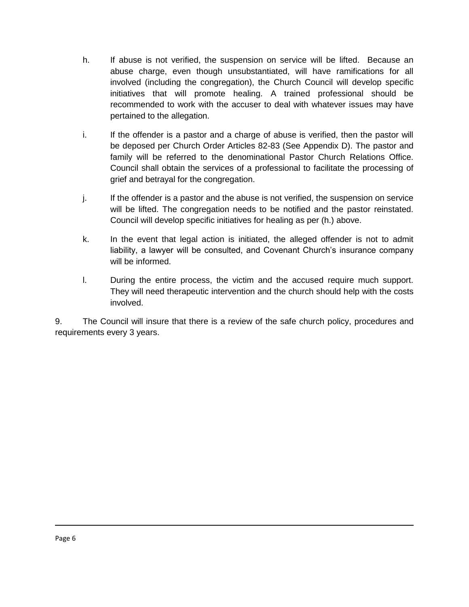- h. If abuse is not verified, the suspension on service will be lifted. Because an abuse charge, even though unsubstantiated, will have ramifications for all involved (including the congregation), the Church Council will develop specific initiatives that will promote healing. A trained professional should be recommended to work with the accuser to deal with whatever issues may have pertained to the allegation.
- i. If the offender is a pastor and a charge of abuse is verified, then the pastor will be deposed per Church Order Articles 82-83 (See Appendix D). The pastor and family will be referred to the denominational Pastor Church Relations Office. Council shall obtain the services of a professional to facilitate the processing of grief and betrayal for the congregation.
- j. If the offender is a pastor and the abuse is not verified, the suspension on service will be lifted. The congregation needs to be notified and the pastor reinstated. Council will develop specific initiatives for healing as per (h.) above.
- k. In the event that legal action is initiated, the alleged offender is not to admit liability, a lawyer will be consulted, and Covenant Church's insurance company will be informed.
- l. During the entire process, the victim and the accused require much support. They will need therapeutic intervention and the church should help with the costs involved.

9. The Council will insure that there is a review of the safe church policy, procedures and requirements every 3 years.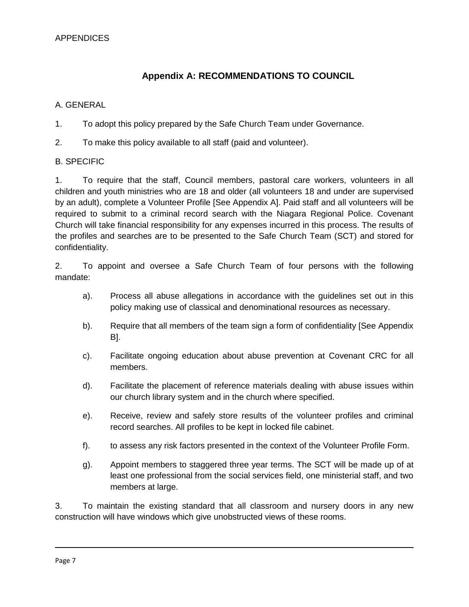# **Appendix A: RECOMMENDATIONS TO COUNCIL**

#### A. GENERAL

- 1. To adopt this policy prepared by the Safe Church Team under Governance.
- 2. To make this policy available to all staff (paid and volunteer).

#### B. SPECIFIC

1. To require that the staff, Council members, pastoral care workers, volunteers in all children and youth ministries who are 18 and older (all volunteers 18 and under are supervised by an adult), complete a Volunteer Profile [See Appendix A]. Paid staff and all volunteers will be required to submit to a criminal record search with the Niagara Regional Police. Covenant Church will take financial responsibility for any expenses incurred in this process. The results of the profiles and searches are to be presented to the Safe Church Team (SCT) and stored for confidentiality.

2. To appoint and oversee a Safe Church Team of four persons with the following mandate:

- a). Process all abuse allegations in accordance with the guidelines set out in this policy making use of classical and denominational resources as necessary.
- b). Require that all members of the team sign a form of confidentiality [See Appendix B].
- c). Facilitate ongoing education about abuse prevention at Covenant CRC for all members.
- d). Facilitate the placement of reference materials dealing with abuse issues within our church library system and in the church where specified.
- e). Receive, review and safely store results of the volunteer profiles and criminal record searches. All profiles to be kept in locked file cabinet.
- f). to assess any risk factors presented in the context of the Volunteer Profile Form.
- g). Appoint members to staggered three year terms. The SCT will be made up of at least one professional from the social services field, one ministerial staff, and two members at large.

3. To maintain the existing standard that all classroom and nursery doors in any new construction will have windows which give unobstructed views of these rooms.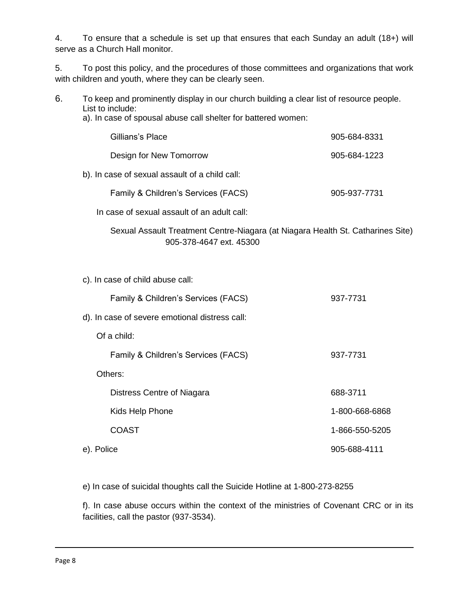4. To ensure that a schedule is set up that ensures that each Sunday an adult (18+) will serve as a Church Hall monitor.

5. To post this policy, and the procedures of those committees and organizations that work with children and youth, where they can be clearly seen.

- 6. To keep and prominently display in our church building a clear list of resource people. List to include:
	- a). In case of spousal abuse call shelter for battered women:

| Gillians's Place                               | 905-684-8331 |
|------------------------------------------------|--------------|
| Design for New Tomorrow                        | 905-684-1223 |
| b). In case of sexual assault of a child call: |              |
|                                                |              |

Family & Children's Services (FACS) 905-937-7731

In case of sexual assault of an adult call:

Sexual Assault Treatment Centre-Niagara (at Niagara Health St. Catharines Site) 905-378-4647 ext. 45300

c). In case of child abuse call:

| Family & Children's Services (FACS) | 937-7731 |
|-------------------------------------|----------|
|                                     |          |

- d). In case of severe emotional distress call:
	- Of a child:
		- Family & Children's Services (FACS) 937-7731
	- Others:

|            | Distress Centre of Niagara | 688-3711       |
|------------|----------------------------|----------------|
|            | Kids Help Phone            | 1-800-668-6868 |
|            | <b>COAST</b>               | 1-866-550-5205 |
| e). Police |                            | 905-688-4111   |

e) In case of suicidal thoughts call the Suicide Hotline at 1-800-273-8255

f). In case abuse occurs within the context of the ministries of Covenant CRC or in its facilities, call the pastor (937-3534).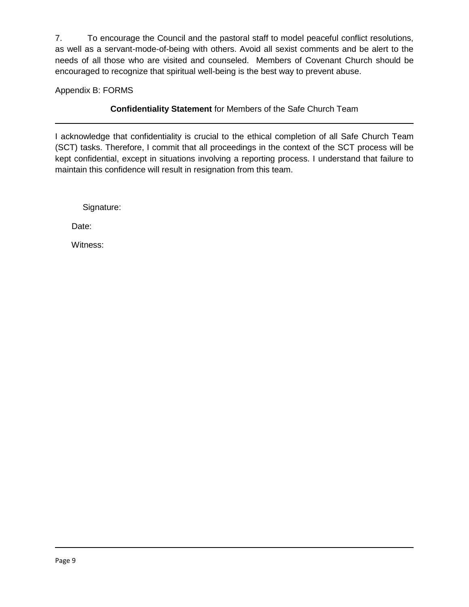7. To encourage the Council and the pastoral staff to model peaceful conflict resolutions, as well as a servant-mode-of-being with others. Avoid all sexist comments and be alert to the needs of all those who are visited and counseled. Members of Covenant Church should be encouraged to recognize that spiritual well-being is the best way to prevent abuse.

Appendix B: FORMS

**Confidentiality Statement** for Members of the Safe Church Team

I acknowledge that confidentiality is crucial to the ethical completion of all Safe Church Team (SCT) tasks. Therefore, I commit that all proceedings in the context of the SCT process will be kept confidential, except in situations involving a reporting process. I understand that failure to maintain this confidence will result in resignation from this team.

Signature:

Date:

Witness: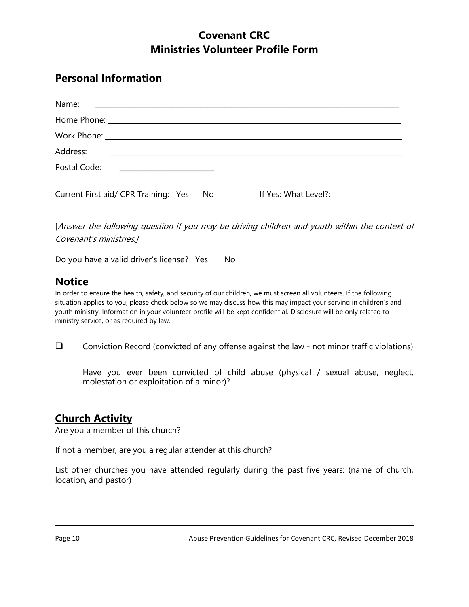# **Covenant CRC Ministries Volunteer Profile Form**

# **Personal Information**

| Postal Code: <u>__________________________</u> |      |                      |
|------------------------------------------------|------|----------------------|
| Current First aid/ CPR Training: Yes           | - No | If Yes: What Level?: |

[Answer the following question if you may be driving children and youth within the context of Covenant's ministries.]

Do you have a valid driver's license? Yes No

# **Notice**

In order to ensure the health, safety, and security of our children, we must screen all volunteers. If the following situation applies to you, please check below so we may discuss how this may impact your serving in children's and youth ministry. Information in your volunteer profile will be kept confidential. Disclosure will be only related to ministry service, or as required by law.

 $\Box$  Conviction Record (convicted of any offense against the law - not minor traffic violations)

Have you ever been convicted of child abuse (physical / sexual abuse, neglect, molestation or exploitation of a minor)?

# **Church Activity**

Are you a member of this church?

If not a member, are you a regular attender at this church?

List other churches you have attended regularly during the past five years: (name of church, location, and pastor)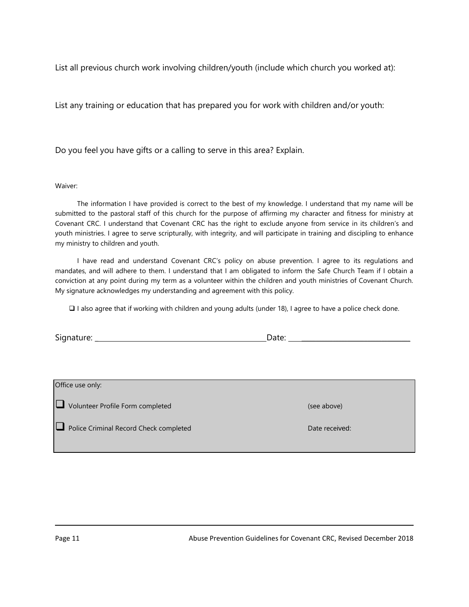List all previous church work involving children/youth (include which church you worked at):

List any training or education that has prepared you for work with children and/or youth:

Do you feel you have gifts or a calling to serve in this area? Explain.

#### Waiver:

The information I have provided is correct to the best of my knowledge. I understand that my name will be submitted to the pastoral staff of this church for the purpose of affirming my character and fitness for ministry at Covenant CRC. I understand that Covenant CRC has the right to exclude anyone from service in its children's and youth ministries. I agree to serve scripturally, with integrity, and will participate in training and discipling to enhance my ministry to children and youth.

I have read and understand Covenant CRC's policy on abuse prevention. I agree to its regulations and mandates, and will adhere to them. I understand that I am obligated to inform the Safe Church Team if I obtain a conviction at any point during my term as a volunteer within the children and youth ministries of Covenant Church. My signature acknowledges my understanding and agreement with this policy.

 $\Box$  I also agree that if working with children and young adults (under 18), I agree to have a police check done.

Signature: \_ Date: \_\_\_\_\_\_\_\_\_\_\_\_\_\_\_\_\_\_\_\_\_\_\_\_\_\_\_\_\_\_\_\_\_\_\_\_\_\_

| Office use only:                       |                |
|----------------------------------------|----------------|
| Volunteer Profile Form completed       | (see above)    |
| Police Criminal Record Check completed | Date received: |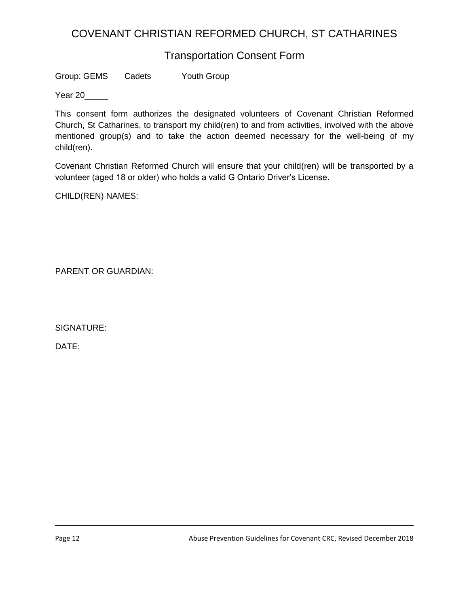# COVENANT CHRISTIAN REFORMED CHURCH, ST CATHARINES

# Transportation Consent Form

Group: GEMS Cadets Youth Group

Year 20

This consent form authorizes the designated volunteers of Covenant Christian Reformed Church, St Catharines, to transport my child(ren) to and from activities, involved with the above mentioned group(s) and to take the action deemed necessary for the well-being of my child(ren).

Covenant Christian Reformed Church will ensure that your child(ren) will be transported by a volunteer (aged 18 or older) who holds a valid G Ontario Driver's License.

CHILD(REN) NAMES:

PARENT OR GUARDIAN:

SIGNATURE:

DATE: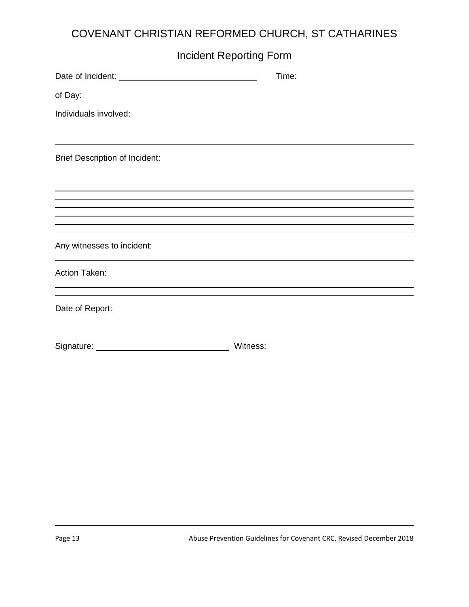# COVENANT CHRISTIAN REFORMED CHURCH, ST CATHARINES

| <b>Incident Reporting Form</b>        |          |       |  |
|---------------------------------------|----------|-------|--|
|                                       |          | Time: |  |
| of Day:                               |          |       |  |
| Individuals involved:                 |          |       |  |
|                                       |          |       |  |
| <b>Brief Description of Incident:</b> |          |       |  |
|                                       |          |       |  |
|                                       |          |       |  |
|                                       |          |       |  |
|                                       |          |       |  |
| Any witnesses to incident:            |          |       |  |
| <b>Action Taken:</b>                  |          |       |  |
| Date of Report:                       |          |       |  |
|                                       | Witness: |       |  |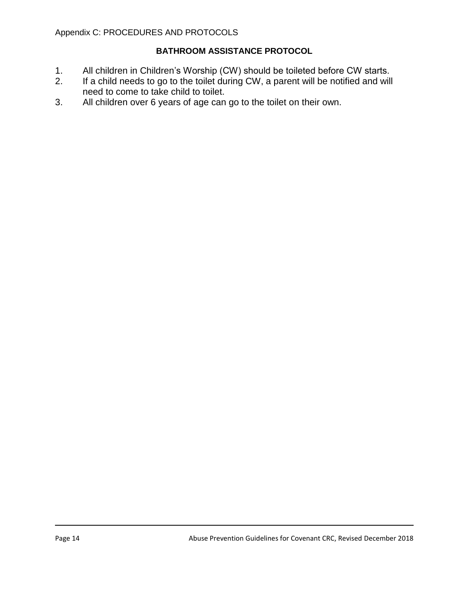## **BATHROOM ASSISTANCE PROTOCOL**

- 1. All children in Children's Worship (CW) should be toileted before CW starts.
- 2. If a child needs to go to the toilet during CW, a parent will be notified and will need to come to take child to toilet.
- 3. All children over 6 years of age can go to the toilet on their own.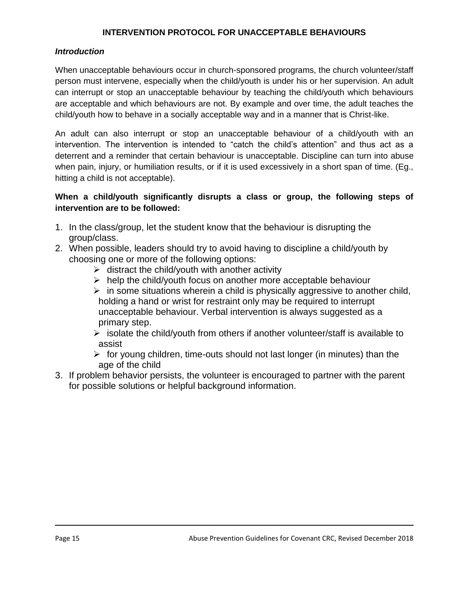### **INTERVENTION PROTOCOL FOR UNACCEPTABLE BEHAVIOURS**

#### *Introduction*

When unacceptable behaviours occur in church-sponsored programs, the church volunteer/staff person must intervene, especially when the child/youth is under his or her supervision. An adult can interrupt or stop an unacceptable behaviour by teaching the child/youth which behaviours are acceptable and which behaviours are not. By example and over time, the adult teaches the child/youth how to behave in a socially acceptable way and in a manner that is Christ-like.

An adult can also interrupt or stop an unacceptable behaviour of a child/youth with an intervention. The intervention is intended to "catch the child's attention" and thus act as a deterrent and a reminder that certain behaviour is unacceptable. Discipline can turn into abuse when pain, injury, or humiliation results, or if it is used excessively in a short span of time. (Eg., hitting a child is not acceptable).

### **When a child/youth significantly disrupts a class or group, the following steps of intervention are to be followed:**

- 1. In the class/group, let the student know that the behaviour is disrupting the group/class.
- 2. When possible, leaders should try to avoid having to discipline a child/youth by choosing one or more of the following options:
	- $\triangleright$  distract the child/youth with another activity
	- $\triangleright$  help the child/youth focus on another more acceptable behaviour
	- $\triangleright$  in some situations wherein a child is physically aggressive to another child, holding a hand or wrist for restraint only may be required to interrupt unacceptable behaviour. Verbal intervention is always suggested as a primary step.
	- $\triangleright$  isolate the child/youth from others if another volunteer/staff is available to assist
	- $\triangleright$  for young children, time-outs should not last longer (in minutes) than the age of the child
- 3. If problem behavior persists, the volunteer is encouraged to partner with the parent for possible solutions or helpful background information.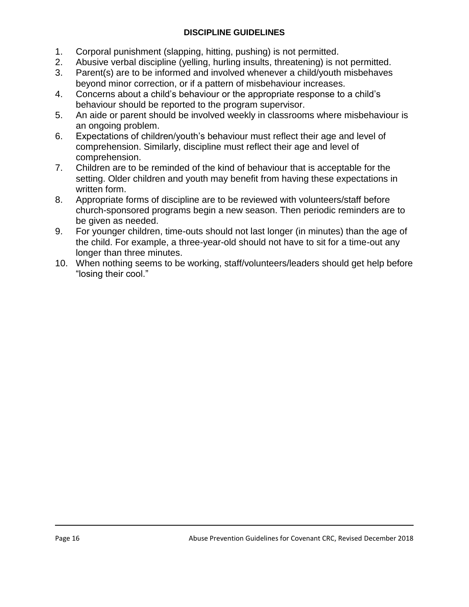## **DISCIPLINE GUIDELINES**

- 1. Corporal punishment (slapping, hitting, pushing) is not permitted.
- 2. Abusive verbal discipline (yelling, hurling insults, threatening) is not permitted.
- 3. Parent(s) are to be informed and involved whenever a child/youth misbehaves beyond minor correction, or if a pattern of misbehaviour increases.
- 4. Concerns about a child's behaviour or the appropriate response to a child's behaviour should be reported to the program supervisor.
- 5. An aide or parent should be involved weekly in classrooms where misbehaviour is an ongoing problem.
- 6. Expectations of children/youth's behaviour must reflect their age and level of comprehension. Similarly, discipline must reflect their age and level of comprehension.
- 7. Children are to be reminded of the kind of behaviour that is acceptable for the setting. Older children and youth may benefit from having these expectations in written form.
- 8. Appropriate forms of discipline are to be reviewed with volunteers/staff before church-sponsored programs begin a new season. Then periodic reminders are to be given as needed.
- 9. For younger children, time-outs should not last longer (in minutes) than the age of the child. For example, a three-year-old should not have to sit for a time-out any longer than three minutes.
- 10. When nothing seems to be working, staff/volunteers/leaders should get help before "losing their cool."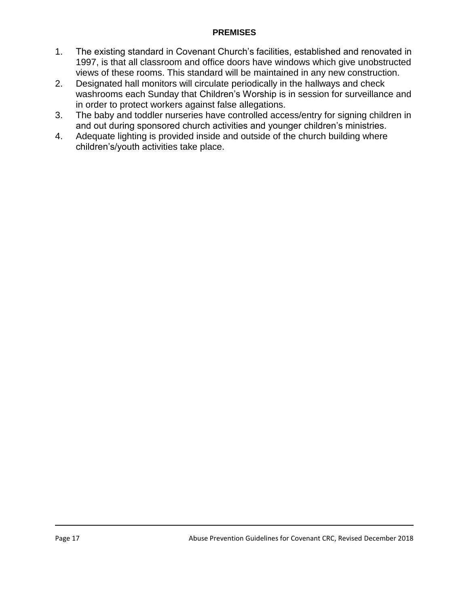## **PREMISES**

- 1. The existing standard in Covenant Church's facilities, established and renovated in 1997, is that all classroom and office doors have windows which give unobstructed views of these rooms. This standard will be maintained in any new construction.
- 2. Designated hall monitors will circulate periodically in the hallways and check washrooms each Sunday that Children's Worship is in session for surveillance and in order to protect workers against false allegations.
- 3. The baby and toddler nurseries have controlled access/entry for signing children in and out during sponsored church activities and younger children's ministries.
- 4. Adequate lighting is provided inside and outside of the church building where children's/youth activities take place.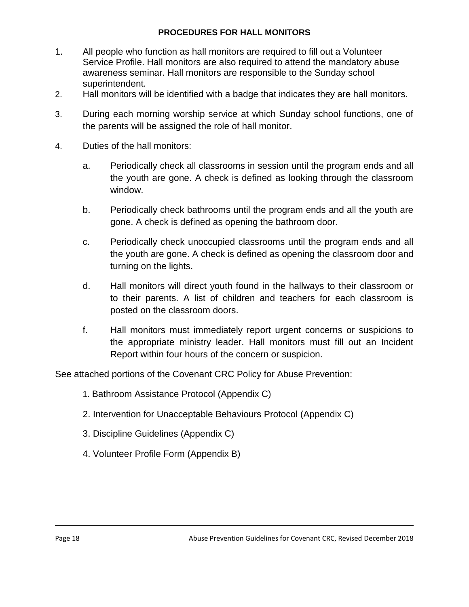### **PROCEDURES FOR HALL MONITORS**

- 1. All people who function as hall monitors are required to fill out a Volunteer Service Profile. Hall monitors are also required to attend the mandatory abuse awareness seminar. Hall monitors are responsible to the Sunday school superintendent.
- 2. Hall monitors will be identified with a badge that indicates they are hall monitors.
- 3. During each morning worship service at which Sunday school functions, one of the parents will be assigned the role of hall monitor.
- 4. Duties of the hall monitors:
	- a. Periodically check all classrooms in session until the program ends and all the youth are gone. A check is defined as looking through the classroom window.
	- b. Periodically check bathrooms until the program ends and all the youth are gone. A check is defined as opening the bathroom door.
	- c. Periodically check unoccupied classrooms until the program ends and all the youth are gone. A check is defined as opening the classroom door and turning on the lights.
	- d. Hall monitors will direct youth found in the hallways to their classroom or to their parents. A list of children and teachers for each classroom is posted on the classroom doors.
	- f. Hall monitors must immediately report urgent concerns or suspicions to the appropriate ministry leader. Hall monitors must fill out an Incident Report within four hours of the concern or suspicion.

See attached portions of the Covenant CRC Policy for Abuse Prevention:

- 1. Bathroom Assistance Protocol (Appendix C)
- 2. Intervention for Unacceptable Behaviours Protocol (Appendix C)
- 3. Discipline Guidelines (Appendix C)
- 4. Volunteer Profile Form (Appendix B)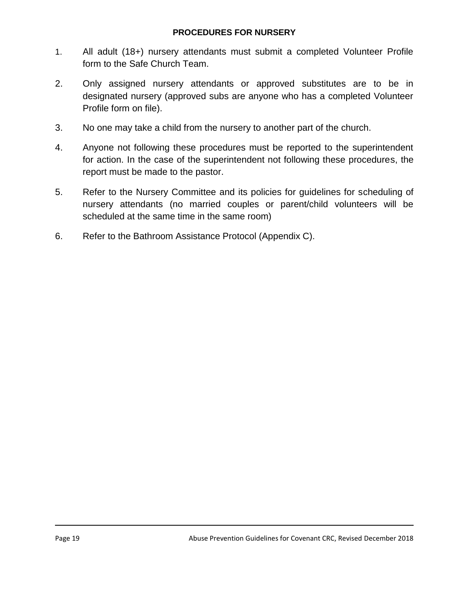### **PROCEDURES FOR NURSERY**

- 1. All adult (18+) nursery attendants must submit a completed Volunteer Profile form to the Safe Church Team.
- 2. Only assigned nursery attendants or approved substitutes are to be in designated nursery (approved subs are anyone who has a completed Volunteer Profile form on file).
- 3. No one may take a child from the nursery to another part of the church.
- 4. Anyone not following these procedures must be reported to the superintendent for action. In the case of the superintendent not following these procedures, the report must be made to the pastor.
- 5. Refer to the Nursery Committee and its policies for guidelines for scheduling of nursery attendants (no married couples or parent/child volunteers will be scheduled at the same time in the same room)
- 6. Refer to the Bathroom Assistance Protocol (Appendix C).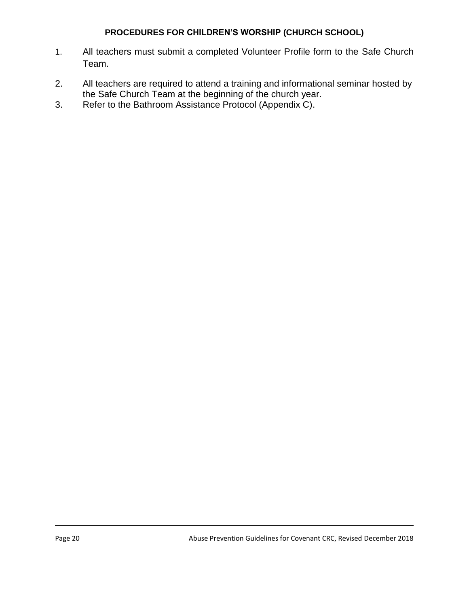## **PROCEDURES FOR CHILDREN'S WORSHIP (CHURCH SCHOOL)**

- 1. All teachers must submit a completed Volunteer Profile form to the Safe Church Team.
- 2. All teachers are required to attend a training and informational seminar hosted by the Safe Church Team at the beginning of the church year.
- 3. Refer to the Bathroom Assistance Protocol (Appendix C).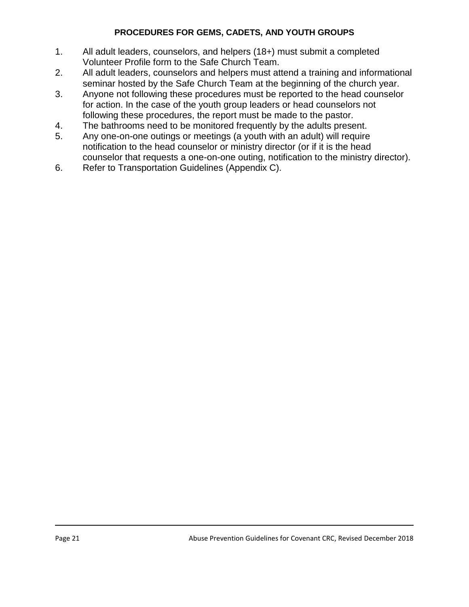## **PROCEDURES FOR GEMS, CADETS, AND YOUTH GROUPS**

- 1. All adult leaders, counselors, and helpers (18+) must submit a completed Volunteer Profile form to the Safe Church Team.
- 2. All adult leaders, counselors and helpers must attend a training and informational seminar hosted by the Safe Church Team at the beginning of the church year.
- 3. Anyone not following these procedures must be reported to the head counselor for action. In the case of the youth group leaders or head counselors not following these procedures, the report must be made to the pastor.
- 4. The bathrooms need to be monitored frequently by the adults present.
- 5. Any one-on-one outings or meetings (a youth with an adult) will require notification to the head counselor or ministry director (or if it is the head counselor that requests a one-on-one outing, notification to the ministry director).
- 6. Refer to Transportation Guidelines (Appendix C).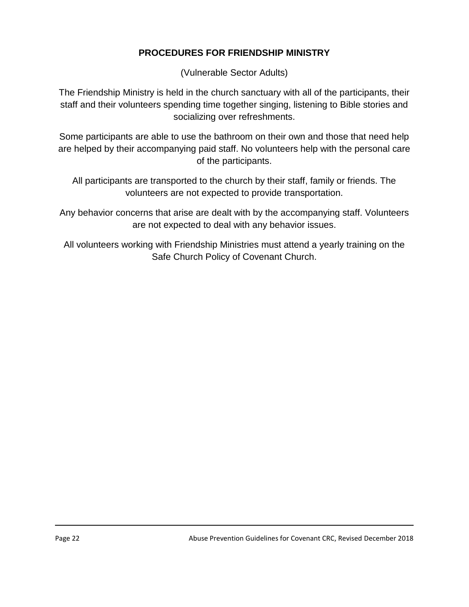# **PROCEDURES FOR FRIENDSHIP MINISTRY**

(Vulnerable Sector Adults)

The Friendship Ministry is held in the church sanctuary with all of the participants, their staff and their volunteers spending time together singing, listening to Bible stories and socializing over refreshments.

Some participants are able to use the bathroom on their own and those that need help are helped by their accompanying paid staff. No volunteers help with the personal care of the participants.

All participants are transported to the church by their staff, family or friends. The volunteers are not expected to provide transportation.

Any behavior concerns that arise are dealt with by the accompanying staff. Volunteers are not expected to deal with any behavior issues.

All volunteers working with Friendship Ministries must attend a yearly training on the Safe Church Policy of Covenant Church.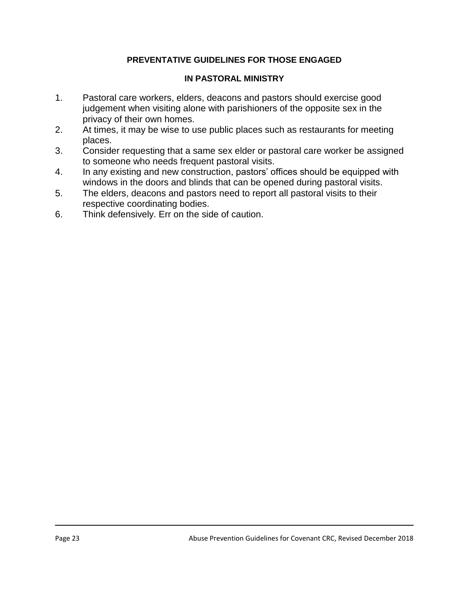## **PREVENTATIVE GUIDELINES FOR THOSE ENGAGED**

### **IN PASTORAL MINISTRY**

- 1. Pastoral care workers, elders, deacons and pastors should exercise good judgement when visiting alone with parishioners of the opposite sex in the privacy of their own homes.
- 2. At times, it may be wise to use public places such as restaurants for meeting places.
- 3. Consider requesting that a same sex elder or pastoral care worker be assigned to someone who needs frequent pastoral visits.
- 4. In any existing and new construction, pastors' offices should be equipped with windows in the doors and blinds that can be opened during pastoral visits.
- 5. The elders, deacons and pastors need to report all pastoral visits to their respective coordinating bodies.
- 6. Think defensively. Err on the side of caution.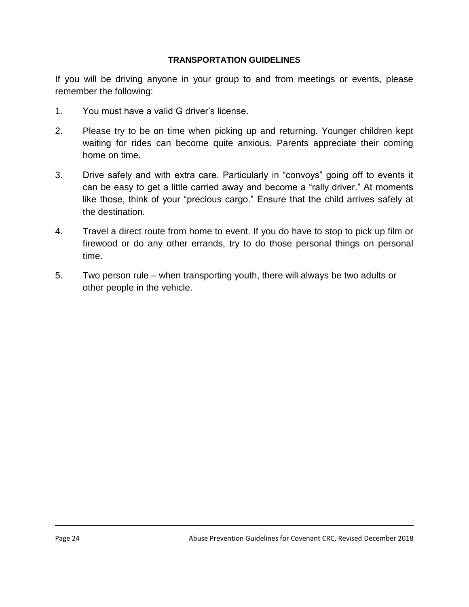### **TRANSPORTATION GUIDELINES**

If you will be driving anyone in your group to and from meetings or events, please remember the following:

- 1. You must have a valid G driver's license.
- 2. Please try to be on time when picking up and returning. Younger children kept waiting for rides can become quite anxious. Parents appreciate their coming home on time.
- 3. Drive safely and with extra care. Particularly in "convoys" going off to events it can be easy to get a little carried away and become a "rally driver." At moments like those, think of your "precious cargo." Ensure that the child arrives safely at the destination.
- 4. Travel a direct route from home to event. If you do have to stop to pick up film or firewood or do any other errands, try to do those personal things on personal time.
- 5. Two person rule when transporting youth, there will always be two adults or other people in the vehicle.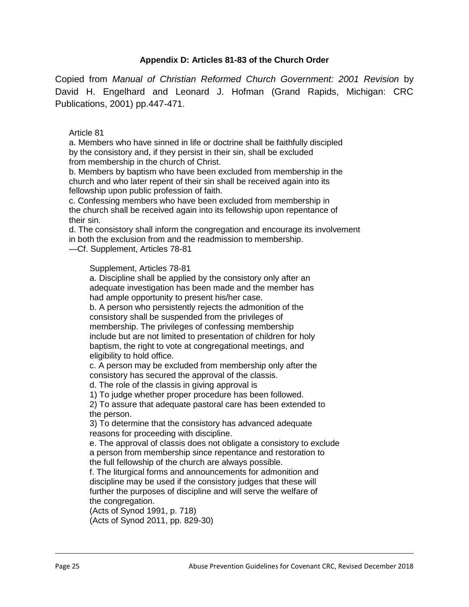### **Appendix D: Articles 81-83 of the Church Order**

Copied from *Manual of Christian Reformed Church Government: 2001 Revision* by David H. Engelhard and Leonard J. Hofman (Grand Rapids, Michigan: CRC Publications, 2001) pp.447-471.

#### Article 81

a. Members who have sinned in life or doctrine shall be faithfully discipled by the consistory and, if they persist in their sin, shall be excluded from membership in the church of Christ.

b. Members by baptism who have been excluded from membership in the church and who later repent of their sin shall be received again into its fellowship upon public profession of faith.

c. Confessing members who have been excluded from membership in the church shall be received again into its fellowship upon repentance of their sin.

d. The consistory shall inform the congregation and encourage its involvement in both the exclusion from and the readmission to membership.

—Cf. Supplement, Articles 78-81

#### Supplement, Articles 78-81

a. Discipline shall be applied by the consistory only after an adequate investigation has been made and the member has had ample opportunity to present his/her case.

b. A person who persistently rejects the admonition of the consistory shall be suspended from the privileges of membership. The privileges of confessing membership include but are not limited to presentation of children for holy baptism, the right to vote at congregational meetings, and eligibility to hold office.

c. A person may be excluded from membership only after the consistory has secured the approval of the classis.

d. The role of the classis in giving approval is

1) To judge whether proper procedure has been followed.

2) To assure that adequate pastoral care has been extended to the person.

3) To determine that the consistory has advanced adequate reasons for proceeding with discipline.

e. The approval of classis does not obligate a consistory to exclude a person from membership since repentance and restoration to the full fellowship of the church are always possible.

f. The liturgical forms and announcements for admonition and discipline may be used if the consistory judges that these will further the purposes of discipline and will serve the welfare of the congregation.

(Acts of Synod 1991, p. 718) (Acts of Synod 2011, pp. 829-30)